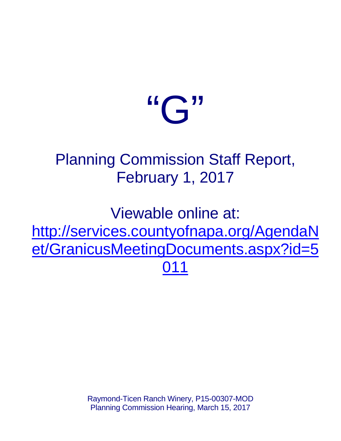# $\mathfrak{C}$ "

### Planning Commission Staff Report, February 1, 2017

Viewable online at: [http://services.countyofnapa.org/AgendaN](http://services.countyofnapa.org/AgendaNet/GranicusMeetingDocuments.aspx?id=5011) [et/GranicusMeetingDocuments.aspx?id=5](http://services.countyofnapa.org/AgendaNet/GranicusMeetingDocuments.aspx?id=5011) [011](http://services.countyofnapa.org/AgendaNet/GranicusMeetingDocuments.aspx?id=5011)

> Raymond-Ticen Ranch Winery, P15-00307-MOD Planning Commission Hearing, March 15, 2017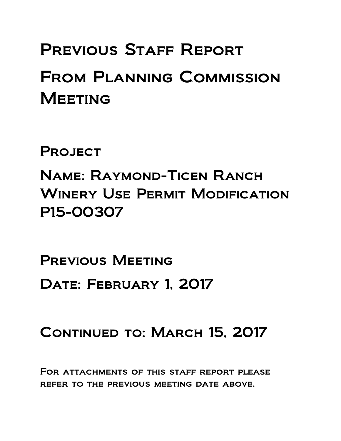## PREVIOUS STAFF REPORT From Planning Commission **MEETING**

**PROJECT** 

Name: Raymond-Ticen Ranch WINERY USE PERMIT MODIFICATION P15-00307

PREVIOUS MEETING DATE: FEBRUARY 1, 2017

### CONTINUED TO: MARCH 15, 2017

For attachments of this staff report please refer to the previous meeting date above.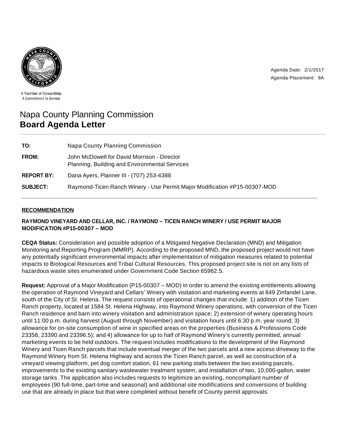Agenda Date: 2/1/2017 Agenda Placement: 9A



A Tradition of Stewardship A Commitment to Service

#### Napa County Planning Commission **Board Agenda Letter**

| TO:               | Napa County Planning Commission                                                              |
|-------------------|----------------------------------------------------------------------------------------------|
| FROM:             | John McDowell for David Morrison - Director<br>Planning, Building and Environmental Services |
| <b>REPORT BY:</b> | Dana Ayers, Planner III - (707) 253-4388                                                     |
| <b>SUBJECT:</b>   | Raymond-Ticen Ranch Winery - Use Permit Major Modification #P15-00307-MOD                    |

#### **RECOMMENDATION**

#### **RAYMOND VINEYARD AND CELLAR, INC. / RAYMOND – TICEN RANCH WINERY / USE PERMIT MAJOR MODIFICATION #P15-00307 – MOD**

**CEQA Status:** Consideration and possible adoption of a Mitigated Negative Declaration (MND) and Mitigation Monitoring and Reporting Program (MMRP). According to the proposed MND, the proposed project would not have any potentially significant environmental impacts after implementation of mitigation measures related to potential impacts to Biological Resources and Tribal Cultural Resources. This proposed project site is not on any lists of hazardous waste sites enumerated under Government Code Section 65962.5.

**Request:** Approval of a Major Modification (P15-00307 – MOD) in order to amend the existing entitlements allowing the operation of Raymond Vineyard and Cellars' Winery with visitation and marketing events at 849 Zinfandel Lane, south of the City of St. Helena. The request consists of operational changes that include: 1) addition of the Ticen Ranch property, located at 1584 St. Helena Highway, into Raymond Winery operations, with conversion of the Ticen Ranch residence and barn into winery visitation and administration space; 2) extension of winery operating hours until 11:00 p.m. during harvest (August through November) and visitation hours until 6:30 p.m. year round; 3) allowance for on-site consumption of wine in specified areas on the properties (Business & Professions Code 23358, 23390 and 23396.5); and 4) allowance for up to half of Raymond Winery's currently permitted, annual marketing events to be held outdoors. The request includes modifications to the development of the Raymond Winery and Ticen Ranch parcels that include eventual merger of the two parcels and a new access driveway to the Raymond Winery from St. Helena Highway and across the Ticen Ranch parcel, as well as construction of a vineyard viewing platform, pet dog comfort station, 61 new parking stalls between the two existing parcels, improvements to the existing sanitary wastewater treatment system, and installation of two, 10,000-gallon, water storage tanks. The application also includes requests to legitimize an existing, noncompliant number of employees (90 full-time, part-time and seasonal) and additional site modifications and conversions of building use that are already in place but that were completed without benefit of County permit approvals.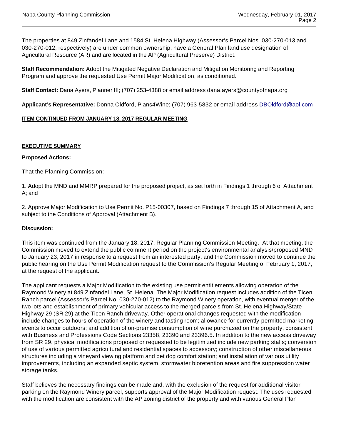The properties at 849 Zinfandel Lane and 1584 St. Helena Highway (Assessor's Parcel Nos. 030-270-013 and 030-270-012, respectively) are under common ownership, have a General Plan land use designation of Agricultural Resource (AR) and are located in the AP (Agricultural Preserve) District.

**Staff Recommendation:** Adopt the Mitigated Negative Declaration and Mitigation Monitoring and Reporting Program and approve the requested Use Permit Major Modification, as conditioned.

**Staff Contact:** Dana Ayers, Planner III; (707) 253-4388 or email address dana.ayers@countyofnapa.org

**Applicant's Representative:** Donna Oldford, Plans4Wine; (707) 963-5832 or email address DBOldford@aol.com

#### **ITEM CONTINUED FROM JANUARY 18, 2017 REGULAR MEETING**

#### **EXECUTIVE SUMMARY**

#### **Proposed Actions:**

That the Planning Commission:

1. Adopt the MND and MMRP prepared for the proposed project, as set forth in Findings 1 through 6 of Attachment A; and

2. Approve Major Modification to Use Permit No. P15-00307, based on Findings 7 through 15 of Attachment A, and subject to the Conditions of Approval (Attachment B).

#### **Discussion:**

This item was continued from the January 18, 2017, Regular Planning Commission Meeting. At that meeting, the Commission moved to extend the public comment period on the project's environmental analysis/proposed MND to January 23, 2017 in response to a request from an interested party, and the Commission moved to continue the public hearing on the Use Permit Modification request to the Commission's Regular Meeting of February 1, 2017, at the request of the applicant.

The applicant requests a Major Modification to the existing use permit entitlements allowing operation of the Raymond Winery at 849 Zinfandel Lane, St. Helena. The Major Modification request includes addition of the Ticen Ranch parcel (Assessor's Parcel No. 030-270-012) to the Raymond Winery operation, with eventual merger of the two lots and establishment of primary vehicular access to the merged parcels from St. Helena Highway/State Highway 29 (SR 29) at the Ticen Ranch driveway. Other operational changes requested with the modification include changes to hours of operation of the winery and tasting room; allowance for currently-permitted marketing events to occur outdoors; and addition of on-premise consumption of wine purchased on the property, consistent with Business and Professions Code Sections 23358, 23390 and 23396.5. In addition to the new access driveway from SR 29, physical modifications proposed or requested to be legitimized include new parking stalls; conversion of use of various permitted agricultural and residential spaces to accessory; construction of other miscellaneous structures including a vineyard viewing platform and pet dog comfort station; and installation of various utility improvements, including an expanded septic system, stormwater bioretention areas and fire suppression water storage tanks.

Staff believes the necessary findings can be made and, with the exclusion of the request for additional visitor parking on the Raymond Winery parcel, supports approval of the Major Modification request. The uses requested with the modification are consistent with the AP zoning district of the property and with various General Plan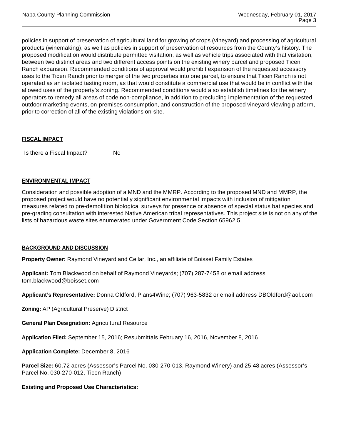policies in support of preservation of agricultural land for growing of crops (vineyard) and processing of agricultural products (winemaking), as well as policies in support of preservation of resources from the County's history. The proposed modification would distribute permitted visitation, as well as vehicle trips associated with that visitation, between two distinct areas and two different access points on the existing winery parcel and proposed Ticen Ranch expansion. Recommended conditions of approval would prohibit expansion of the requested accessory uses to the Ticen Ranch prior to merger of the two properties into one parcel, to ensure that Ticen Ranch is not operated as an isolated tasting room, as that would constitute a commercial use that would be in conflict with the allowed uses of the property's zoning. Recommended conditions would also establish timelines for the winery operators to remedy all areas of code non-compliance, in addition to precluding implementation of the requested outdoor marketing events, on-premises consumption, and construction of the proposed vineyard viewing platform, prior to correction of all of the existing violations on-site.

#### **FISCAL IMPACT**

Is there a Fiscal Impact? No

#### **ENVIRONMENTAL IMPACT**

Consideration and possible adoption of a MND and the MMRP. According to the proposed MND and MMRP, the proposed project would have no potentially significant environmental impacts with inclusion of mitigation measures related to pre-demolition biological surveys for presence or absence of special status bat species and pre-grading consultation with interested Native American tribal representatives. This project site is not on any of the lists of hazardous waste sites enumerated under Government Code Section 65962.5.

#### **BACKGROUND AND DISCUSSION**

**Property Owner:** Raymond Vineyard and Cellar, Inc., an affiliate of Boisset Family Estates

**Applicant:** Tom Blackwood on behalf of Raymond Vineyards; (707) 287-7458 or email address tom.blackwood@boisset.com

**Applicant's Representative:** Donna Oldford, Plans4Wine; (707) 963-5832 or email address DBOldford@aol.com

**Zoning:** AP (Agricultural Preserve) District

**General Plan Designation:** Agricultural Resource

**Application Filed:** September 15, 2016; Resubmittals February 16, 2016, November 8, 2016

**Application Complete:** December 8, 2016

**Parcel Size:** 60.72 acres (Assessor's Parcel No. 030-270-013, Raymond Winery) and 25.48 acres (Assessor's Parcel No. 030-270-012, Ticen Ranch)

#### **Existing and Proposed Use Characteristics:**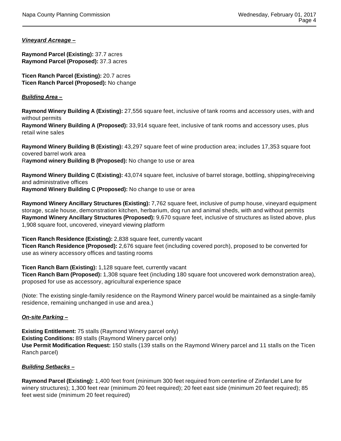#### **Vineyard Acreage –**

**Raymond Parcel (Existing):** 37.7 acres **Raymond Parcel (Proposed):** 37.3 acres

**Ticen Ranch Parcel (Existing):** 20.7 acres **Ticen Ranch Parcel (Proposed):** No change

#### **Building Area –**

**Raymond Winery Building A (Existing):** 27,556 square feet, inclusive of tank rooms and accessory uses, with and without permits

**Raymond Winery Building A (Proposed):** 33,914 square feet, inclusive of tank rooms and accessory uses, plus retail wine sales

**Raymond Winery Building B (Existing):** 43,297 square feet of wine production area; includes 17,353 square foot covered barrel work area R**aymond winery Building B (Proposed):** No change to use or area

**Raymond Winery Building C (Existing):** 43,074 square feet, inclusive of barrel storage, bottling, shipping/receiving and administrative offices **Raymond Winery Building C (Proposed):** No change to use or area

**Raymond Winery Ancillary Structures (Existing):** 7,762 square feet, inclusive of pump house, vineyard equipment storage, scale house, demonstration kitchen, herbarium, dog run and animal sheds, with and without permits **Raymond Winery Ancillary Structures (Proposed):** 9,670 square feet, inclusive of structures as listed above, plus 1,908 square foot, uncovered, vineyard viewing platform

**Ticen Ranch Residence (Existing):** 2,838 square feet, currently vacant **Ticen Ranch Residence (Proposed):** 2,676 square feet (including covered porch), proposed to be converted for use as winery accessory offices and tasting rooms

**Ticen Ranch Barn (Existing):** 1,128 square feet, currently vacant **Ticen Ranch Barn (Proposed):** 1,308 square feet (including 180 square foot uncovered work demonstration area), proposed for use as accessory, agricultural experience space

(Note: The existing single-family residence on the Raymond Winery parcel would be maintained as a single-family residence, remaining unchanged in use and area.)

#### **On-site Parking –**

**Existing Entitlement:** 75 stalls (Raymond Winery parcel only) **Existing Conditions:** 89 stalls (Raymond Winery parcel only) **Use Permit Modification Request:** 150 stalls (139 stalls on the Raymond Winery parcel and 11 stalls on the Ticen Ranch parcel)

#### **Building Setbacks –**

**Raymond Parcel (Existing):** 1,400 feet front (minimum 300 feet required from centerline of Zinfandel Lane for winery structures); 1,300 feet rear (minimum 20 feet required); 20 feet east side (minimum 20 feet required); 85 feet west side (minimum 20 feet required)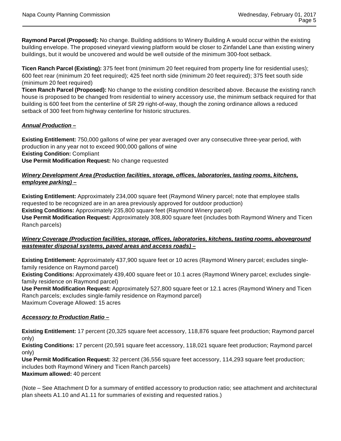**Raymond Parcel (Proposed):** No change. Building additions to Winery Building A would occur within the existing building envelope. The proposed vineyard viewing platform would be closer to Zinfandel Lane than existing winery buildings, but it would be uncovered and would be well outside of the minimum 300-foot setback.

**Ticen Ranch Parcel (Existing):** 375 feet front (minimum 20 feet required from property line for residential uses); 600 feet rear (minimum 20 feet required); 425 feet north side (minimum 20 feet required); 375 feet south side (minimum 20 feet required)

**Ticen Ranch Parcel (Proposed):** No change to the existing condition described above. Because the existing ranch house is proposed to be changed from residential to winery accessory use, the minimum setback required for that building is 600 feet from the centerline of SR 29 right-of-way, though the zoning ordinance allows a reduced setback of 300 feet from highway centerline for historic structures.

#### **Annual Production –**

**Existing Entitlement:** 750,000 gallons of wine per year averaged over any consecutive three-year period, with production in any year not to exceed 900,000 gallons of wine **Existing Condition:** Compliant **Use Permit Modification Request:** No change requested

#### **Winery Development Area (Production facilities, storage, offices, laboratories, tasting rooms, kitchens, employee parking) –**

**Existing Entitlement:** Approximately 234,000 square feet (Raymond Winery parcel; note that employee stalls requested to be recognized are in an area previously approved for outdoor production) **Existing Conditions:** Approximately 235,800 square feet (Raymond Winery parcel) **Use Permit Modification Request:** Approximately 308,800 square feet (includes both Raymond Winery and Ticen Ranch parcels)

#### **Winery Coverage (Production facilities, storage, offices, laboratories, kitchens, tasting rooms, aboveground wastewater disposal systems, paved areas and access roads) –**

**Existing Entitlement:** Approximately 437,900 square feet or 10 acres (Raymond Winery parcel; excludes singlefamily residence on Raymond parcel)

**Existing Conditions:** Approximately 439,400 square feet or 10.1 acres (Raymond Winery parcel; excludes singlefamily residence on Raymond parcel)

**Use Permit Modification Request:** Approximately 527,800 square feet or 12.1 acres (Raymond Winery and Ticen Ranch parcels; excludes single-family residence on Raymond parcel) Maximum Coverage Allowed: 15 acres

#### **Accessory to Production Ratio –**

**Existing Entitlement:** 17 percent (20,325 square feet accessory, 118,876 square feet production; Raymond parcel only)

**Existing Conditions:** 17 percent (20,591 square feet accessory, 118,021 square feet production; Raymond parcel only)

**Use Permit Modification Request:** 32 percent (36,556 square feet accessory, 114,293 square feet production; includes both Raymond Winery and Ticen Ranch parcels) **Maximum allowed:** 40 percent

(Note – See Attachment D for a summary of entitled accessory to production ratio; see attachment and architectural plan sheets A1.10 and A1.11 for summaries of existing and requested ratios.)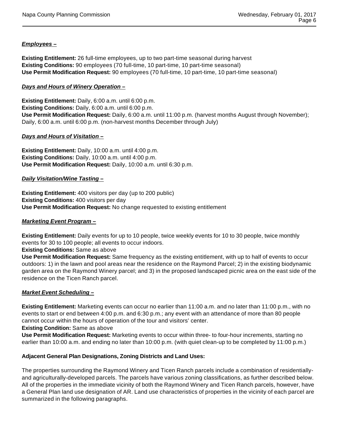#### **Employees –**

**Existing Entitlement:** 26 full-time employees, up to two part-time seasonal during harvest **Existing Conditions:** 90 employees (70 full-time, 10 part-time, 10 part-time seasonal) **Use Permit Modification Request:** 90 employees (70 full-time, 10 part-time, 10 part-time seasonal)

#### **Days and Hours of Winery Operation –**

**Existing Entitlement:** Daily, 6:00 a.m. until 6:00 p.m. **Existing Conditions:** Daily, 6:00 a.m. until 6:00 p.m. **Use Permit Modification Request:** Daily, 6:00 a.m. until 11:00 p.m. (harvest months August through November); Daily, 6:00 a.m. until 6:00 p.m. (non-harvest months December through July)

#### **Days and Hours of Visitation –**

**Existing Entitlement:** Daily, 10:00 a.m. until 4:00 p.m. **Existing Conditions:** Daily, 10:00 a.m. until 4:00 p.m. **Use Permit Modification Request:** Daily, 10:00 a.m. until 6:30 p.m.

#### **Daily Visitation/Wine Tasting –**

**Existing Entitlement:** 400 visitors per day (up to 200 public) **Existing Conditions:** 400 visitors per day **Use Permit Modification Request:** No change requested to existing entitlement

#### **Marketing Event Program –**

**Existing Entitlement:** Daily events for up to 10 people, twice weekly events for 10 to 30 people, twice monthly events for 30 to 100 people; all events to occur indoors.

**Existing Conditions:** Same as above

**Use Permit Modification Request:** Same frequency as the existing entitlement, with up to half of events to occur outdoors: 1) in the lawn and pool areas near the residence on the Raymond Parcel; 2) in the existing biodynamic garden area on the Raymond Winery parcel; and 3) in the proposed landscaped picnic area on the east side of the residence on the Ticen Ranch parcel.

#### **Market Event Scheduling –**

**Existing Entitlement:** Marketing events can occur no earlier than 11:00 a.m. and no later than 11:00 p.m., with no events to start or end between 4:00 p.m. and 6:30 p.m.; any event with an attendance of more than 80 people cannot occur within the hours of operation of the tour and visitors' center.

**Existing Condition:** Same as above

**Use Permit Modification Request:** Marketing events to occur within three- to four-hour increments, starting no earlier than 10:00 a.m. and ending no later than 10:00 p.m. (with quiet clean-up to be completed by 11:00 p.m.)

#### **Adjacent General Plan Designations, Zoning Districts and Land Uses:**

The properties surrounding the Raymond Winery and Ticen Ranch parcels include a combination of residentiallyand agriculturally-developed parcels. The parcels have various zoning classifications, as further described below. All of the properties in the immediate vicinity of both the Raymond Winery and Ticen Ranch parcels, however, have a General Plan land use designation of AR. Land use characteristics of properties in the vicinity of each parcel are summarized in the following paragraphs.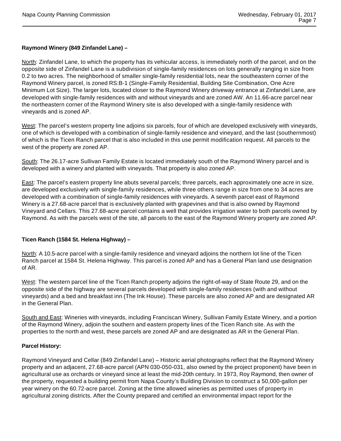#### **Raymond Winery (849 Zinfandel Lane) –**

North: Zinfandel Lane, to which the property has its vehicular access, is immediately north of the parcel, and on the opposite side of Zinfandel Lane is a subdivision of single-family residences on lots generally ranging in size from 0.2 to two acres. The neighborhood of smaller single-family residential lots, near the southeastern corner of the Raymond Winery parcel, is zoned RS:B-1 (Single-Family Residential, Building Site Combination, One Acre Minimum Lot Size). The larger lots, located closer to the Raymond Winery driveway entrance at Zinfandel Lane, are developed with single-family residences with and without vineyards and are zoned AW. An 11.66-acre parcel near the northeastern corner of the Raymond Winery site is also developed with a single-family residence with vineyards and is zoned AP.

West: The parcel's western property line adjoins six parcels, four of which are developed exclusively with vineyards, one of which is developed with a combination of single-family residence and vineyard, and the last (southernmost) of which is the Ticen Ranch parcel that is also included in this use permit modification request. All parcels to the west of the property are zoned AP.

South: The 26.17-acre Sullivan Family Estate is located immediately south of the Raymond Winery parcel and is developed with a winery and planted with vineyards. That property is also zoned AP.

East: The parcel's eastern property line abuts several parcels; three parcels, each approximately one acre in size, are developed exclusively with single-family residences, while three others range in size from one to 34 acres are developed with a combination of single-family residences with vineyards. A seventh parcel east of Raymond Winery is a 27.68-acre parcel that is exclusively planted with grapevines and that is also owned by Raymond Vineyard and Cellars. This 27.68-acre parcel contains a well that provides irrigation water to both parcels owned by Raymond. As with the parcels west of the site, all parcels to the east of the Raymond Winery property are zoned AP.

#### **Ticen Ranch (1584 St. Helena Highway) –**

North: A 10.5-acre parcel with a single-family residence and vineyard adjoins the northern lot line of the Ticen Ranch parcel at 1584 St. Helena Highway. This parcel is zoned AP and has a General Plan land use designation of AR.

West: The western parcel line of the Ticen Ranch property adjoins the right-of-way of State Route 29, and on the opposite side of the highway are several parcels developed with single-family residences (with and without vineyards) and a bed and breakfast inn (The Ink House). These parcels are also zoned AP and are designated AR in the General Plan.

South and East: Wineries with vineyards, including Franciscan Winery, Sullivan Family Estate Winery, and a portion of the Raymond Winery, adjoin the southern and eastern property lines of the Ticen Ranch site. As with the properties to the north and west, these parcels are zoned AP and are designated as AR in the General Plan.

#### **Parcel History:**

Raymond Vineyard and Cellar (849 Zinfandel Lane) – Historic aerial photographs reflect that the Raymond Winery property and an adjacent, 27.68-acre parcel (APN 030-050-031, also owned by the project proponent) have been in agricultural use as orchards or vineyard since at least the mid-20th century. In 1973, Roy Raymond, then owner of the property, requested a building permit from Napa County's Building Division to construct a 50,000-gallon per year winery on the 60.72-acre parcel. Zoning at the time allowed wineries as permitted uses of property in agricultural zoning districts. After the County prepared and certified an environmental impact report for the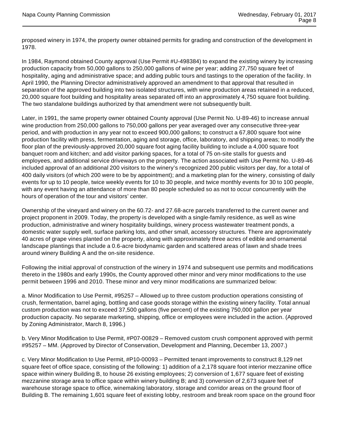proposed winery in 1974, the property owner obtained permits for grading and construction of the development in 1978.

In 1984, Raymond obtained County approval (Use Permit #U-498384) to expand the existing winery by increasing production capacity from 50,000 gallons to 250,000 gallons of wine per year; adding 27,750 square feet of hospitality, aging and administrative space; and adding public tours and tastings to the operation of the facility. In April 1990, the Planning Director administratively approved an amendment to that approval that resulted in separation of the approved building into two isolated structures, with wine production areas retained in a reduced, 20,000 square foot building and hospitality areas separated off into an approximately 4,750 square foot building. The two standalone buildings authorized by that amendment were not subsequently built.

Later, in 1991, the same property owner obtained County approval (Use Permit No. U-89-46) to increase annual wine production from 250,000 gallons to 750,000 gallons per year averaged over any consecutive three-year period, and with production in any year not to exceed 900,000 gallons; to construct a 67,800 square foot wine production facility with press, fermentation, aging and storage, office, laboratory, and shipping areas; to modify the floor plan of the previously-approved 20,000 square foot aging facility building to include a 4,000 square foot banquet room and kitchen; and add visitor parking spaces, for a total of 75 on-site stalls for guests and employees, and additional service driveways on the property. The action associated with Use Permit No. U-89-46 included approval of an additional 200 visitors to the winery's recognized 200 public visitors per day, for a total of 400 daily visitors (of which 200 were to be by appointment); and a marketing plan for the winery, consisting of daily events for up to 10 people, twice weekly events for 10 to 30 people, and twice monthly events for 30 to 100 people, with any event having an attendance of more than 80 people scheduled so as not to occur concurrently with the hours of operation of the tour and visitors' center.

Ownership of the vineyard and winery on the 60.72- and 27.68-acre parcels transferred to the current owner and project proponent in 2009. Today, the property is developed with a single-family residence, as well as wine production, administrative and winery hospitality buildings, winery process wastewater treatment ponds, a domestic water supply well, surface parking lots, and other small, accessory structures. There are approximately 40 acres of grape vines planted on the property, along with approximately three acres of edible and ornamental landscape plantings that include a 0.6-acre biodynamic garden and scattered areas of lawn and shade trees around winery Building A and the on-site residence.

Following the initial approval of construction of the winery in 1974 and subsequent use permits and modifications thereto in the 1980s and early 1990s, the County approved other minor and very minor modifications to the use permit between 1996 and 2010. These minor and very minor modifications are summarized below:

a. Minor Modification to Use Permit, #95257 – Allowed up to three custom production operations consisting of crush, fermentation, barrel aging, bottling and case goods storage within the existing winery facility. Total annual custom production was not to exceed 37,500 gallons (five percent) of the existing 750,000 gallon per year production capacity. No separate marketing, shipping, office or employees were included in the action. (Approved by Zoning Administrator, March 8, 1996.)

b. Very Minor Modification to Use Permit, #P07-00829 – Removed custom crush component approved with permit #95257 – MM. (Approved by Director of Conservation, Development and Planning, December 13, 2007.)

c. Very Minor Modification to Use Permit, #P10-00093 – Permitted tenant improvements to construct 8,129 net square feet of office space, consisting of the following: 1) addition of a 2,178 square foot interior mezzanine office space within winery Building B, to house 26 existing employees; 2) conversion of 1,677 square feet of existing mezzanine storage area to office space within winery building B; and 3) conversion of 2,673 square feet of warehouse storage space to office, winemaking laboratory, storage and corridor areas on the ground floor of Building B. The remaining 1,601 square feet of existing lobby, restroom and break room space on the ground floor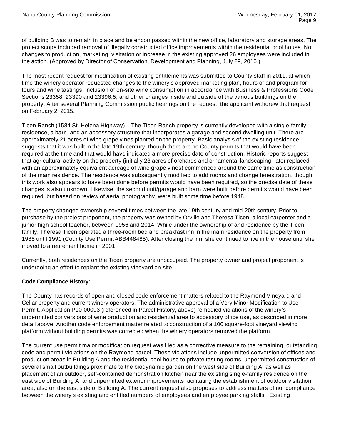of building B was to remain in place and be encompassed within the new office, laboratory and storage areas. The project scope included removal of illegally constructed office improvements within the residential pool house. No changes to production, marketing, visitation or increase in the existing approved 26 employees were included in the action. (Approved by Director of Conservation, Development and Planning, July 29, 2010.)

The most recent request for modification of existing entitlements was submitted to County staff in 2011, at which time the winery operator requested changes to the winery's approved marketing plan, hours of and program for tours and wine tastings, inclusion of on-site wine consumption in accordance with Business & Professions Code Sections 23358, 23390 and 23396.5, and other changes inside and outside of the various buildings on the property. After several Planning Commission public hearings on the request, the applicant withdrew that request on February 2, 2015.

Ticen Ranch (1584 St. Helena Highway) – The Ticen Ranch property is currently developed with a single-family residence, a barn, and an accessory structure that incorporates a garage and second dwelling unit. There are approximately 21 acres of wine grape vines planted on the property. Basic analysis of the existing residence suggests that it was built in the late 19th century, though there are no County permits that would have been required at the time and that would have indicated a more precise date of construction. Historic reports suggest that agricultural activity on the property (initially 23 acres of orchards and ornamental landscaping, later replaced with an approximately equivalent acreage of wine grape vines) commenced around the same time as construction of the main residence. The residence was subsequently modified to add rooms and change fenestration, though this work also appears to have been done before permits would have been required, so the precise date of these changes is also unknown. Likewise, the second unit/garage and barn were built before permits would have been required, but based on review of aerial photography, were built some time before 1948.

The property changed ownership several times between the late 19th century and mid-20th century. Prior to purchase by the project proponent, the property was owned by Orville and Theresa Ticen, a local carpenter and a junior high school teacher, between 1956 and 2014. While under the ownership of and residence by the Ticen family, Theresa Ticen operated a three-room bed and breakfast inn in the main residence on the property from 1985 until 1991 (County Use Permit #BB448485). After closing the inn, she continued to live in the house until she moved to a retirement home in 2001.

Currently, both residences on the Ticen property are unoccupied. The property owner and project proponent is undergoing an effort to replant the existing vineyard on-site.

#### **Code Compliance History:**

The County has records of open and closed code enforcement matters related to the Raymond Vineyard and Cellar property and current winery operators. The administrative approval of a Very Minor Modification to Use Permit, Application P10-00093 (referenced in Parcel History, above) remedied violations of the winery's unpermitted conversions of wine production and residential area to accessory office use, as described in more detail above. Another code enforcement matter related to construction of a 100 square-foot vineyard viewing platform without building permits was corrected when the winery operators removed the platform.

The current use permit major modification request was filed as a corrective measure to the remaining, outstanding code and permit violations on the Raymond parcel. These violations include unpermitted conversion of offices and production areas in Building A and the residential pool house to private tasting rooms; unpermitted construction of several small outbuildings proximate to the biodynamic garden on the west side of Building A, as well as placement of an outdoor, self-contained demonstration kitchen near the existing single-family residence on the east side of Building A; and unpermitted exterior improvements facilitating the establishment of outdoor visitation area, also on the east side of Building A. The current request also proposes to address matters of noncompliance between the winery's existing and entitled numbers of employees and employee parking stalls. Existing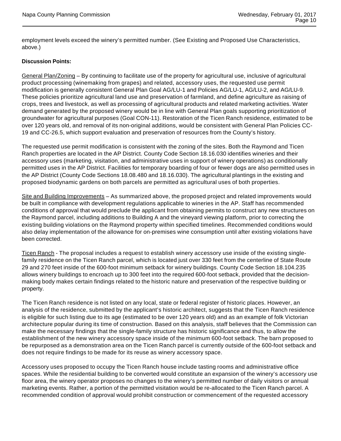employment levels exceed the winery's permitted number. (See Existing and Proposed Use Characteristics, above.)

#### **Discussion Points:**

General Plan/Zoning – By continuing to facilitate use of the property for agricultural use, inclusive of agricultural product processing (winemaking from grapes) and related, accessory uses, the requested use permit modification is generally consistent General Plan Goal AG/LU-1 and Policies AG/LU-1, AG/LU-2, and AG/LU-9. These policies prioritize agricultural land use and preservation of farmland, and define agriculture as raising of crops, trees and livestock, as well as processing of agricultural products and related marketing activities. Water demand generated by the proposed winery would be in line with General Plan goals supporting prioritization of groundwater for agricultural purposes (Goal CON-11). Restoration of the Ticen Ranch residence, estimated to be over 120 years old, and removal of its non-original additions, would be consistent with General Plan Policies CC-19 and CC-26.5, which support evaluation and preservation of resources from the County's history.

The requested use permit modification is consistent with the zoning of the sites. Both the Raymond and Ticen Ranch properties are located in the AP District. County Code Section 18.16.030 identifies wineries and their accessory uses (marketing, visitation, and administrative uses in support of winery operations) as conditionally permitted uses in the AP District. Facilities for temporary boarding of four or fewer dogs are also permitted uses in the AP District (County Code Sections 18.08.480 and 18.16.030). The agricultural plantings in the existing and proposed biodynamic gardens on both parcels are permitted as agricultural uses of both properties.

Site and Building Improvements – As summarized above, the proposed project and related improvements would be built in compliance with development regulations applicable to wineries in the AP. Staff has recommended conditions of approval that would preclude the applicant from obtaining permits to construct any new structures on the Raymond parcel, including additions to Building A and the vineyard viewing platform, prior to correcting the existing building violations on the Raymond property within specified timelines. Recommended conditions would also delay implementation of the allowance for on-premises wine consumption until after existing violations have been corrected.

Ticen Ranch - The proposal includes a request to establish winery accessory use inside of the existing singlefamily residence on the Ticen Ranch parcel, which is located just over 330 feet from the centerline of State Route 29 and 270 feet inside of the 600-foot minimum setback for winery buildings. County Code Section 18.104.235 allows winery buildings to encroach up to 300 feet into the required 600-foot setback, provided that the decisionmaking body makes certain findings related to the historic nature and preservation of the respective building or property.

The Ticen Ranch residence is not listed on any local, state or federal register of historic places. However, an analysis of the residence, submitted by the applicant's historic architect, suggests that the Ticen Ranch residence is eligible for such listing due to its age (estimated to be over 120 years old) and as an example of folk Victorian architecture popular during its time of construction. Based on this analysis, staff believes that the Commission can make the necessary findings that the single-family structure has historic significance and thus, to allow the establishment of the new winery accessory space inside of the minimum 600-foot setback. The barn proposed to be repurposed as a demonstration area on the Ticen Ranch parcel is currently outside of the 600-foot setback and does not require findings to be made for its reuse as winery accessory space.

Accessory uses proposed to occupy the Ticen Ranch house include tasting rooms and administrative office spaces. While the residential building to be converted would constitute an expansion of the winery's accessory use floor area, the winery operator proposes no changes to the winery's permitted number of daily visitors or annual marketing events. Rather, a portion of the permitted visitation would be re-allocated to the Ticen Ranch parcel. A recommended condition of approval would prohibit construction or commencement of the requested accessory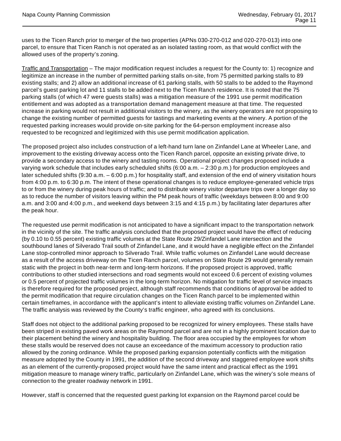uses to the Ticen Ranch prior to merger of the two properties (APNs 030-270-012 and 020-270-013) into one parcel, to ensure that Ticen Ranch is not operated as an isolated tasting room, as that would conflict with the allowed uses of the property's zoning.

Traffic and Transportation – The major modification request includes a request for the County to: 1) recognize and legitimize an increase in the number of permitted parking stalls on-site, from 75 permitted parking stalls to 89 existing stalls; and 2) allow an additional increase of 61 parking stalls, with 50 stalls to be added to the Raymond parcel's guest parking lot and 11 stalls to be added next to the Ticen Ranch residence. It is noted that the 75 parking stalls (of which 47 were guests stalls) was a mitigation measure of the 1991 use permit modification entitlement and was adopted as a transportation demand management measure at that time. The requested increase in parking would not result in additional visitors to the winery, as the winery operators are not proposing to change the existing number of permitted guests for tastings and marketing events at the winery. A portion of the requested parking increases would provide on-site parking for the 64-person employment increase also requested to be recognized and legitimized with this use permit modification application.

The proposed project also includes construction of a left-hand turn lane on Zinfandel Lane at Wheeler Lane, and improvement to the existing driveway access onto the Ticen Ranch parcel, opposite an existing private drive, to provide a secondary access to the winery and tasting rooms. Operational project changes proposed include a varying work schedule that includes early scheduled shifts (6:00 a.m. – 2:30 p.m.) for production employees and later scheduled shifts (9:30 a.m. – 6:00 p.m.) for hospitality staff, and extension of the end of winery visitation hours from 4:00 p.m. to 6:30 p.m. The intent of these operational changes is to reduce employee-generated vehicle trips to or from the winery during peak hours of traffic; and to distribute winery visitor departure trips over a longer day so as to reduce the number of visitors leaving within the PM peak hours of traffic (weekdays between 8:00 and 9:00 a.m. and 3:00 and 4:00 p.m., and weekend days between 3:15 and 4:15 p.m.) by facilitating later departures after the peak hour.

The requested use permit modification is not anticipated to have a significant impact to the transportation network in the vicinity of the site. The traffic analysis concluded that the proposed project would have the effect of reducing (by 0.10 to 0.55 percent) existing traffic volumes at the State Route 29/Zinfandel Lane intersection and the southbound lanes of Silverado Trail south of Zinfandel Lane, and it would have a negligible effect on the Zinfandel Lane stop-controlled minor approach to Silverado Trail. While traffic volumes on Zinfandel Lane would decrease as a result of the access driveway on the Ticen Ranch parcel, volumes on State Route 29 would generally remain static with the project in both near-term and long-term horizons. If the proposed project is approved, traffic contributions to other studied intersections and road segments would not exceed 0.6 percent of existing volumes or 0.5 percent of projected traffic volumes in the long-term horizon. No mitigation for traffic level of service impacts is therefore required for the proposed project, although staff recommends that conditions of approval be added to the permit modification that require circulation changes on the Ticen Ranch parcel to be implemented within certain timeframes, in accordance with the applicant's intent to alleviate existing traffic volumes on Zinfandel Lane. The traffic analysis was reviewed by the County's traffic engineer, who agreed with its conclusions.

Staff does not object to the additional parking proposed to be recognized for winery employees. These stalls have been striped in existing paved work areas on the Raymond parcel and are not in a highly prominent location due to their placement behind the winery and hospitality building. The floor area occupied by the employees for whom these stalls would be reserved does not cause an exceedance of the maximum accessory to production ratio allowed by the zoning ordinance. While the proposed parking expansion potentially conflicts with the mitigation measure adopted by the County in 1991, the addition of the second driveway and staggered employee work shifts as an element of the currently-proposed project would have the same intent and practical effect as the 1991 mitigation measure to manage winery traffic, particularly on Zinfandel Lane, which was the winery's sole means of connection to the greater roadway network in 1991.

However, staff is concerned that the requested guest parking lot expansion on the Raymond parcel could be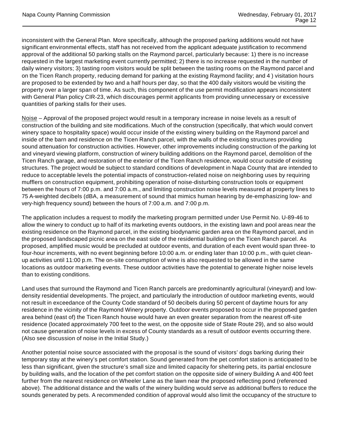inconsistent with the General Plan. More specifically, although the proposed parking additions would not have significant environmental effects, staff has not received from the applicant adequate justification to recommend approval of the additional 50 parking stalls on the Raymond parcel, particularly because: 1) there is no increase requested in the largest marketing event currently permitted; 2) there is no increase requested in the number of daily winery visitors; 3) tasting room visitors would be split between the tasting rooms on the Raymond parcel and on the Ticen Ranch property, reducing demand for parking at the existing Raymond facility; and 4 ) visitation hours are proposed to be extended by two and a half hours per day, so that the 400 daily visitors would be visiting the property over a larger span of time. As such, this component of the use permit modification appears inconsistent with General Plan policy CIR-23, which discourages permit applicants from providing unnecessary or excessive quantities of parking stalls for their uses.

Noise – Approval of the proposed project would result in a temporary increase in noise levels as a result of construction of the building and site modifications. Much of the construction (specifically, that which would convert winery space to hospitality space) would occur inside of the existing winery building on the Raymond parcel and inside of the barn and residence on the Ticen Ranch parcel, with the walls of the existing structures providing sound attenuation for construction activities. However, other improvements including construction of the parking lot and vineyard viewing platform, construction of winery building additions on the Raymond parcel, demolition of the Ticen Ranch garage, and restoration of the exterior of the Ticen Ranch residence, would occur outside of existing structures. The project would be subject to standard conditions of development in Napa County that are intended to reduce to acceptable levels the potential impacts of construction-related noise on neighboring uses by requiring mufflers on construction equipment, prohibiting operation of noise-disturbing construction tools or equipment between the hours of 7:00 p.m. and 7:00 a.m., and limiting construction noise levels measured at property lines to 75 A-weighted decibels (dBA, a measurement of sound that mimics human hearing by de-emphasizing low- and very-high frequency sound) between the hours of 7:00 a.m. and 7:00 p.m.

The application includes a request to modify the marketing program permitted under Use Permit No. U-89-46 to allow the winery to conduct up to half of its marketing events outdoors, in the existing lawn and pool areas near the existing residence on the Raymond parcel, in the existing biodynamic garden area on the Raymond parcel, and in the proposed landscaped picnic area on the east side of the residential building on the Ticen Ranch parcel. As proposed, amplified music would be precluded at outdoor events, and duration of each event would span three- to four-hour increments, with no event beginning before 10:00 a.m. or ending later than 10:00 p.m., with quiet cleanup activities until 11:00 p.m. The on-site consumption of wine is also requested to be allowed in the same locations as outdoor marketing events. These outdoor activities have the potential to generate higher noise levels than to existing conditions.

Land uses that surround the Raymond and Ticen Ranch parcels are predominantly agricultural (vineyard) and lowdensity residential developments. The project, and particularly the introduction of outdoor marketing events, would not result in exceedance of the County Code standard of 50 decibels during 50 percent of daytime hours for any residence in the vicinity of the Raymond Winery property. Outdoor events proposed to occur in the proposed garden area behind (east of) the Ticen Ranch house would have an even greater separation from the nearest off-site residence (located approximately 700 feet to the west, on the opposite side of State Route 29), and so also would not cause generation of noise levels in excess of County standards as a result of outdoor events occurring there. (Also see discussion of noise in the Initial Study.)

Another potential noise source associated with the proposal is the sound of visitors' dogs barking during their temporary stay at the winery's pet comfort station. Sound generated from the pet comfort station is anticipated to be less than significant, given the structure's small size and limited capacity for sheltering pets, its partial enclosure by building walls, and the location of the pet comfort station on the opposite side of winery Building A and 400 feet further from the nearest residence on Wheeler Lane as the lawn near the proposed reflecting pond (referenced above). The additional distance and the walls of the winery building would serve as additional buffers to reduce the sounds generated by pets. A recommended condition of approval would also limit the occupancy of the structure to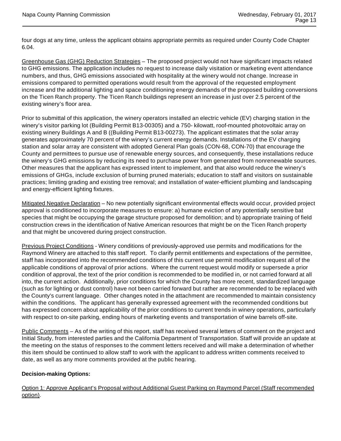four dogs at any time, unless the applicant obtains appropriate permits as required under County Code Chapter 6.04.

Greenhouse Gas (GHG) Reduction Strategies – The proposed project would not have significant impacts related to GHG emissions. The application includes no request to increase daily visitation or marketing event attendance numbers, and thus, GHG emissions associated with hospitality at the winery would not change. Increase in emissions compared to permitted operations would result from the approval of the requested employment increase and the additional lighting and space conditioning energy demands of the proposed building conversions on the Ticen Ranch property. The Ticen Ranch buildings represent an increase in just over 2.5 percent of the existing winery's floor area.

Prior to submittal of this application, the winery operators installed an electric vehicle (EV) charging station in the winery's visitor parking lot (Building Permit B13-00305) and a 750- kilowatt, roof-mounted photovoltaic array on existing winery Buildings A and B ((Building Permit B13-00273). The applicant estimates that the solar array generates approximately 70 percent of the winery's current energy demands. Installations of the EV charging station and solar array are consistent with adopted General Plan goals (CON-68, CON-70) that encourage the County and permittees to pursue use of renewable energy sources, and consequently, these installations reduce the winery's GHG emissions by reducing its need to purchase power from generated from nonrenewable sources. Other measures that the applicant has expressed intent to implement, and that also would reduce the winery's emissions of GHGs, include exclusion of burning pruned materials; education to staff and visitors on sustainable practices; limiting grading and existing tree removal; and installation of water-efficient plumbing and landscaping and energy-efficient lighting fixtures.

Mitigated Negative Declaration – No new potentially significant environmental effects would occur, provided project approval is conditioned to incorporate measures to ensure: a) humane eviction of any potentially sensitive bat species that might be occupying the garage structure proposed for demolition; and b) appropriate training of field construction crews in the identification of Native American resources that might be on the Ticen Ranch property and that might be uncovered during project construction.

**Previous Project Conditions** - Winery conditions of previously-approved use permits and modifications for the Raymond Winery are attached to this staff report. To clarify permit entitlements and expectations of the permittee, staff has incorporated into the recommended conditions of this current use permit modification request all of the applicable conditions of approval of prior actions. Where the current request would modify or supersede a prior condition of approval, the text of the prior condition is recommended to be modified in, or not carried forward at all into, the current action. Additionally, prior conditions for which the County has more recent, standardized language (such as for lighting or dust control) have not been carried forward but rather are recommended to be replaced with the County's current language. Other changes noted in the attachment are recommended to maintain consistency within the conditions. The applicant has generally expressed agreement with the recommended conditions but has expressed concern about applicability of the prior conditions to current trends in winery operations, particularly with respect to on-site parking, ending hours of marketing events and transportation of wine barrels off-site.

Public Comments - As of the writing of this report, staff has received several letters of comment on the project and Initial Study, from interested parties and the California Department of Transportation. Staff will provide an update at the meeting on the status of responses to the comment letters received and will make a determination of whether this item should be continued to allow staff to work with the applicant to address written comments received to date, as well as any more comments provided at the public hearing.

#### **Decision-making Options:**

Option 1: Approve Applicant's Proposal without Additional Guest Parking on Raymond Parcel (Staff recommended option).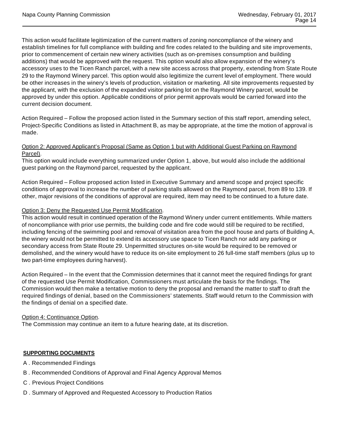This action would facilitate legitimization of the current matters of zoning noncompliance of the winery and establish timelines for full compliance with building and fire codes related to the building and site improvements, prior to commencement of certain new winery activities (such as on-premises consumption and building additions) that would be approved with the request. This option would also allow expansion of the winery's accessory uses to the Ticen Ranch parcel, with a new site access across that property, extending from State Route 29 to the Raymond Winery parcel. This option would also legitimize the current level of employment. There would be other increases in the winery's levels of production, visitation or marketing. All site improvements requested by the applicant, with the exclusion of the expanded visitor parking lot on the Raymond Winery parcel, would be approved by under this option. Applicable conditions of prior permit approvals would be carried forward into the current decision document.

Action Required – Follow the proposed action listed in the Summary section of this staff report, amending select, Project-Specific Conditions as listed in Attachment B, as may be appropriate, at the time the motion of approval is made.

#### Option 2: Approved Applicant's Proposal (Same as Option 1 but with Additional Guest Parking on Raymond Parcel).

This option would include everything summarized under Option 1, above, but would also include the additional guest parking on the Raymond parcel, requested by the applicant.

Action Required – Follow proposed action listed in Executive Summary and amend scope and project specific conditions of approval to increase the number of parking stalls allowed on the Raymond parcel, from 89 to 139. If other, major revisions of the conditions of approval are required, item may need to be continued to a future date.

#### Option 3: Deny the Requested Use Permit Modification.

This action would result in continued operation of the Raymond Winery under current entitlements. While matters of noncompliance with prior use permits, the building code and fire code would still be required to be rectified, including fencing of the swimming pool and removal of visitation area from the pool house and parts of Building A, the winery would not be permitted to extend its accessory use space to Ticen Ranch nor add any parking or secondary access from State Route 29. Unpermitted structures on-site would be required to be removed or demolished, and the winery would have to reduce its on-site employment to 26 full-time staff members (plus up to two part-time employees during harvest).

Action Required – In the event that the Commission determines that it cannot meet the required findings for grant of the requested Use Permit Modification, Commissioners must articulate the basis for the findings. The Commission would then make a tentative motion to deny the proposal and remand the matter to staff to draft the required findings of denial, based on the Commissioners' statements. Staff would return to the Commission with the findings of denial on a specified date.

#### Option 4: Continuance Option.

The Commission may continue an item to a future hearing date, at its discretion.

#### **SUPPORTING DOCUMENTS**

- A . Recommended Findings
- B . Recommended Conditions of Approval and Final Agency Approval Memos
- C . Previous Project Conditions
- D . Summary of Approved and Requested Accessory to Production Ratios